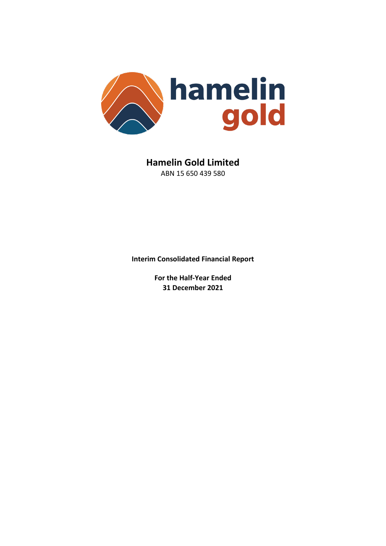

**Hamelin Gold Limited** ABN 15 650 439 580

**Interim Consolidated Financial Report** 

**For the Half-Year Ended 31 December 2021**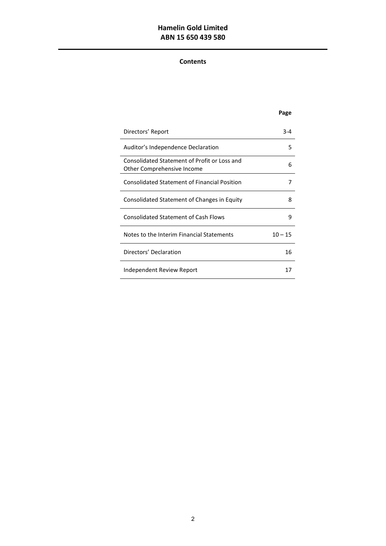# **Hamelin Gold Limited ABN 15 650 439 580**

# **Contents**

 $\overline{a}$ 

|                                                                            | Page      |
|----------------------------------------------------------------------------|-----------|
| Directors' Report                                                          | $3 - 4$   |
| Auditor's Independence Declaration                                         | 5         |
| Consolidated Statement of Profit or Loss and<br>Other Comprehensive Income | 6         |
| <b>Consolidated Statement of Financial Position</b>                        | 7         |
| Consolidated Statement of Changes in Equity                                | 8         |
| <b>Consolidated Statement of Cash Flows</b>                                | ٩         |
| Notes to the Interim Financial Statements                                  | $10 - 15$ |
| Directors' Declaration                                                     | 16        |
| Independent Review Report                                                  | 17        |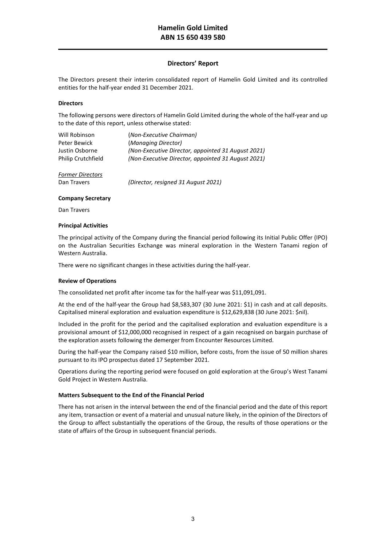## **Directors' Report**

The Directors present their interim consolidated report of Hamelin Gold Limited and its controlled entities for the half-year ended 31 December 2021.

## **Directors**

 $\overline{a}$ 

The following persons were directors of Hamelin Gold Limited during the whole of the half-year and up to the date of this report, unless otherwise stated:

| Will Robinson             | (Non-Executive Chairman)                           |
|---------------------------|----------------------------------------------------|
| Peter Bewick              | (Managing Director)                                |
| Justin Osborne            | (Non-Executive Director, appointed 31 August 2021) |
| <b>Philip Crutchfield</b> | (Non-Executive Director, appointed 31 August 2021) |
| <b>Former Directors</b>   |                                                    |
| Dan Travers               | (Director, resianed 31 August 2021)                |

## **Company Secretary**

Dan Travers

### **Principal Activities**

The principal activity of the Company during the financial period following its Initial Public Offer (IPO) on the Australian Securities Exchange was mineral exploration in the Western Tanami region of Western Australia.

There were no significant changes in these activities during the half-year.

## **Review of Operations**

The consolidated net profit after income tax for the half-year was \$11,091,091.

At the end of the half-year the Group had \$8,583,307 (30 June 2021: \$1) in cash and at call deposits. Capitalised mineral exploration and evaluation expenditure is \$12,629,838 (30 June 2021: \$nil).

Included in the profit for the period and the capitalised exploration and evaluation expenditure is a provisional amount of \$12,000,000 recognised in respect of a gain recognised on bargain purchase of the exploration assets following the demerger from Encounter Resources Limited.

During the half-year the Company raised \$10 million, before costs, from the issue of 50 million shares pursuant to its IPO prospectus dated 17 September 2021.

Operations during the reporting period were focused on gold exploration at the Group's West Tanami Gold Project in Western Australia.

## **Matters Subsequent to the End of the Financial Period**

There has not arisen in the interval between the end of the financial period and the date of this report any item, transaction or event of a material and unusual nature likely, in the opinion of the Directors of the Group to affect substantially the operations of the Group, the results of those operations or the state of affairs of the Group in subsequent financial periods.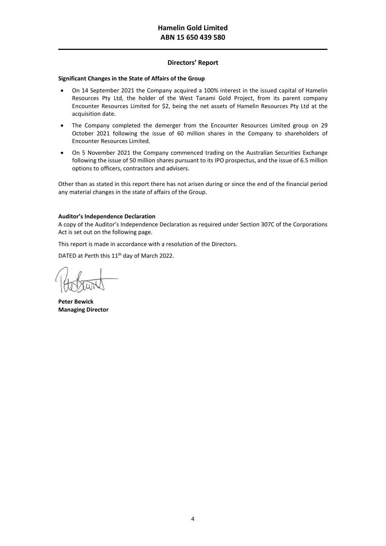# **Directors' Report**

## **Significant Changes in the State of Affairs of the Group**

- On 14 September 2021 the Company acquired a 100% interest in the issued capital of Hamelin Resources Pty Ltd, the holder of the West Tanami Gold Project, from its parent company Encounter Resources Limited for \$2, being the net assets of Hamelin Resources Pty Ltd at the acquisition date.
- The Company completed the demerger from the Encounter Resources Limited group on 29 October 2021 following the issue of 60 million shares in the Company to shareholders of Encounter Resources Limited.
- On 5 November 2021 the Company commenced trading on the Australian Securities Exchange following the issue of 50 million shares pursuant to its IPO prospectus, and the issue of 6.5 million options to officers, contractors and advisers.

Other than as stated in this report there has not arisen during or since the end of the financial period any material changes in the state of affairs of the Group.

## **Auditor's Independence Declaration**

A copy of the Auditor's Independence Declaration as required under Section 307C of the Corporations Act is set out on the following page.

This report is made in accordance with a resolution of the Directors.

DATED at Perth this 11<sup>th</sup> day of March 2022.

**Peter Bewick Managing Director**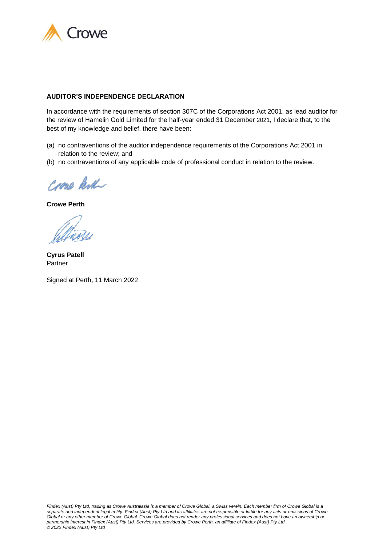

## **AUDITOR'S INDEPENDENCE DECLARATION**

In accordance with the requirements of section 307C of the Corporations Act 2001, as lead auditor for the review of Hamelin Gold Limited for the half-year ended 31 December 2021, I declare that, to the best of my knowledge and belief, there have been:

- (a) no contraventions of the auditor independence requirements of the Corporations Act 2001 in relation to the review; and
- (b) no contraventions of any applicable code of professional conduct in relation to the review.

Crone Resh

**Crowe Perth**

**Cyrus Patell** Partner

Signed at Perth, 11 March 2022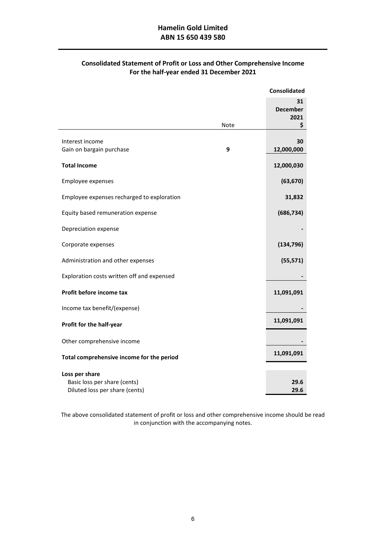# **Consolidated Statement of Profit or Loss and Other Comprehensive Income For the half-year ended 31 December 2021**

|                                                |      | <b>Consolidated</b>                 |
|------------------------------------------------|------|-------------------------------------|
|                                                | Note | 31<br><b>December</b><br>2021<br>\$ |
|                                                |      |                                     |
| Interest income                                | 9    | 30                                  |
| Gain on bargain purchase                       |      | 12,000,000                          |
| <b>Total Income</b>                            |      | 12,000,030                          |
| Employee expenses                              |      | (63, 670)                           |
| Employee expenses recharged to exploration     |      | 31,832                              |
| Equity based remuneration expense              |      | (686, 734)                          |
| Depreciation expense                           |      |                                     |
| Corporate expenses                             |      | (134, 796)                          |
| Administration and other expenses              |      | (55, 571)                           |
| Exploration costs written off and expensed     |      |                                     |
| Profit before income tax                       |      | 11,091,091                          |
| Income tax benefit/(expense)                   |      |                                     |
| Profit for the half-year                       |      | 11,091,091                          |
| Other comprehensive income                     |      |                                     |
| Total comprehensive income for the period      |      | 11,091,091                          |
|                                                |      |                                     |
| Loss per share<br>Basic loss per share (cents) |      | 29.6                                |
| Diluted loss per share (cents)                 |      | 29.6                                |
|                                                |      |                                     |

The above consolidated statement of profit or loss and other comprehensive income should be read in conjunction with the accompanying notes.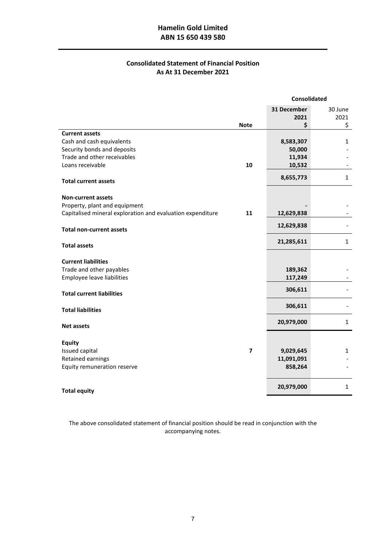# **Hamelin Gold Limited ABN 15 650 439 580**

 $\overline{a}$ 

# **Consolidated Statement of Financial Position As At 31 December 2021**

|                                                            |                         | <b>Consolidated</b> |              |
|------------------------------------------------------------|-------------------------|---------------------|--------------|
|                                                            |                         | 31 December         | 30 June      |
|                                                            |                         | 2021                | 2021         |
|                                                            | <b>Note</b>             | \$                  | \$           |
| <b>Current assets</b>                                      |                         |                     |              |
| Cash and cash equivalents                                  |                         | 8,583,307           | 1            |
| Security bonds and deposits                                |                         | 50,000              |              |
| Trade and other receivables                                |                         | 11,934              |              |
| Loans receivable                                           | 10                      | 10,532              |              |
|                                                            |                         |                     | $\mathbf{1}$ |
| <b>Total current assets</b>                                |                         | 8,655,773           |              |
| <b>Non-current assets</b>                                  |                         |                     |              |
| Property, plant and equipment                              |                         |                     |              |
| Capitalised mineral exploration and evaluation expenditure | 11                      | 12,629,838          |              |
| <b>Total non-current assets</b>                            |                         | 12,629,838          |              |
|                                                            |                         |                     |              |
| <b>Total assets</b>                                        |                         | 21,285,611          | $\mathbf{1}$ |
| <b>Current liabilities</b>                                 |                         |                     |              |
| Trade and other payables                                   |                         | 189,362             |              |
| Employee leave liabilities                                 |                         | 117,249             |              |
|                                                            |                         |                     |              |
| <b>Total current liabilities</b>                           |                         | 306,611             |              |
| <b>Total liabilities</b>                                   |                         | 306,611             |              |
| <b>Net assets</b>                                          |                         | 20,979,000          | $\mathbf{1}$ |
|                                                            |                         |                     |              |
| <b>Equity</b>                                              |                         |                     |              |
| Issued capital                                             | $\overline{\mathbf{z}}$ | 9,029,645           | 1            |
| Retained earnings                                          |                         | 11,091,091          |              |
| Equity remuneration reserve                                |                         | 858,264             |              |
|                                                            |                         | 20,979,000          | 1            |
| <b>Total equity</b>                                        |                         |                     |              |

The above consolidated statement of financial position should be read in conjunction with the accompanying notes.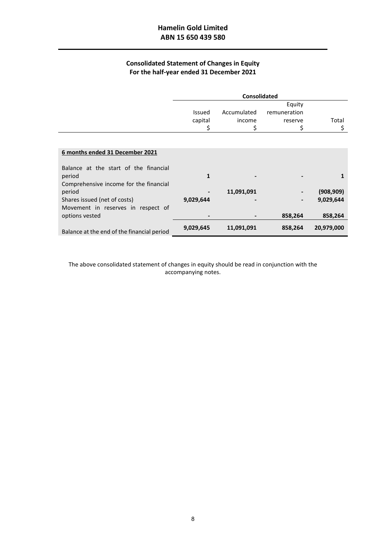$\overline{a}$ 

# **Consolidated Statement of Changes in Equity For the half-year ended 31 December 2021**

|                                            | <b>Consolidated</b> |             |              |            |
|--------------------------------------------|---------------------|-------------|--------------|------------|
|                                            |                     |             | Equity       |            |
|                                            | Issued              | Accumulated | remuneration |            |
|                                            | capital             | income      | reserve      | Total      |
|                                            | \$                  | \$          | \$           | \$         |
|                                            |                     |             |              |            |
|                                            |                     |             |              |            |
| 6 months ended 31 December 2021            |                     |             |              |            |
| Balance at the start of the financial      |                     |             |              |            |
| period                                     | 1                   |             |              |            |
| Comprehensive income for the financial     |                     |             |              |            |
| period                                     |                     | 11,091,091  |              | (908, 909) |
| Shares issued (net of costs)               | 9,029,644           |             |              | 9,029,644  |
| Movement in reserves in respect of         |                     |             |              |            |
| options vested                             |                     |             | 858,264      | 858,264    |
|                                            | 9,029,645           | 11,091,091  | 858,264      | 20,979,000 |
| Balance at the end of the financial period |                     |             |              |            |

The above consolidated statement of changes in equity should be read in conjunction with the accompanying notes.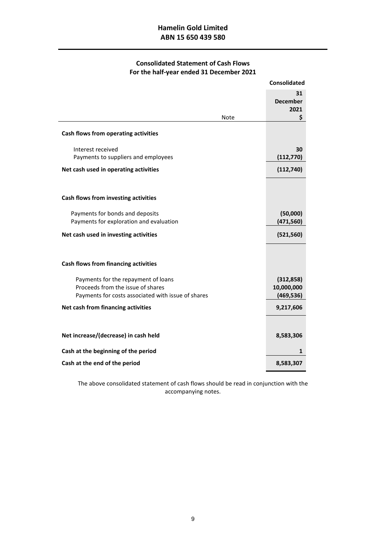# **Consolidated Statement of Cash Flows For the half-year ended 31 December 2021**

|                                                                                                                                | <b>Consolidated</b>                    |
|--------------------------------------------------------------------------------------------------------------------------------|----------------------------------------|
| Note                                                                                                                           | 31<br><b>December</b><br>2021<br>\$    |
| Cash flows from operating activities                                                                                           |                                        |
| Interest received<br>Payments to suppliers and employees                                                                       | 30<br>(112, 770)                       |
| Net cash used in operating activities                                                                                          | (112,740)                              |
| Cash flows from investing activities                                                                                           |                                        |
| Payments for bonds and deposits<br>Payments for exploration and evaluation                                                     | (50,000)<br>(471, 560)                 |
| Net cash used in investing activities                                                                                          | (521, 560)                             |
| Cash flows from financing activities                                                                                           |                                        |
|                                                                                                                                |                                        |
| Payments for the repayment of loans<br>Proceeds from the issue of shares<br>Payments for costs associated with issue of shares | (312, 858)<br>10,000,000<br>(469, 536) |
| Net cash from financing activities                                                                                             | 9,217,606                              |
|                                                                                                                                |                                        |
| Net increase/(decrease) in cash held                                                                                           | 8,583,306                              |
| Cash at the beginning of the period                                                                                            | 1                                      |
| Cash at the end of the period                                                                                                  | 8,583,307                              |

The above consolidated statement of cash flows should be read in conjunction with the accompanying notes.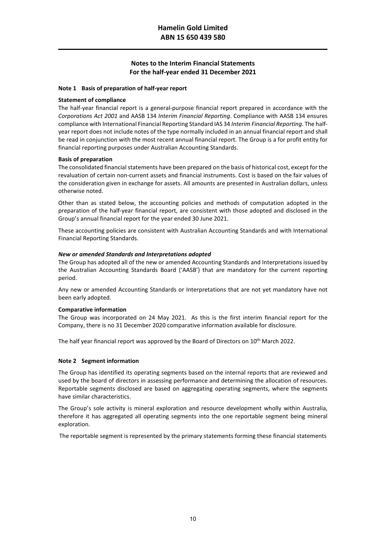### **Note 1 Basis of preparation of half-year report**

#### **Statement of compliance**

 $\overline{a}$ 

The half-year financial report is a general-purpose financial report prepared in accordance with the *Corporations Act 2001* and AASB 134 *Interim Financial Reporting*. Compliance with AASB 134 ensures compliance with International Financial Reporting Standard IAS 34 *Interim Financial Reporting*. The halfyear report does not include notes of the type normally included in an annual financial report and shall be read in conjunction with the most recent annual financial report. The Group is a for profit entity for financial reporting purposes under Australian Accounting Standards.

#### **Basis of preparation**

The consolidated financial statements have been prepared on the basis of historical cost, except for the revaluation of certain non-current assets and financial instruments. Cost is based on the fair values of the consideration given in exchange for assets. All amounts are presented in Australian dollars, unless otherwise noted.

Other than as stated below, the accounting policies and methods of computation adopted in the preparation of the half-year financial report, are consistent with those adopted and disclosed in the Group's annual financial report for the year ended 30 June 2021.

These accounting policies are consistent with Australian Accounting Standards and with International Financial Reporting Standards.

#### *New or amended Standards and Interpretations adopted*

The Group has adopted all of the new or amended Accounting Standards and Interpretations issued by the Australian Accounting Standards Board ('AASB') that are mandatory for the current reporting period.

Any new or amended Accounting Standards or Interpretations that are not yet mandatory have not been early adopted.

#### **Comparative information**

The Group was incorporated on 24 May 2021. As this is the first interim financial report for the Company, there is no 31 December 2020 comparative information available for disclosure.

The half year financial report was approved by the Board of Directors on 10<sup>th</sup> March 2022.

## **Note 2 Segment information**

The Group has identified its operating segments based on the internal reports that are reviewed and used by the board of directors in assessing performance and determining the allocation of resources. Reportable segments disclosed are based on aggregating operating segments, where the segments have similar characteristics.

The Group's sole activity is mineral exploration and resource development wholly within Australia, therefore it has aggregated all operating segments into the one reportable segment being mineral exploration.

The reportable segment is represented by the primary statements forming these financial statements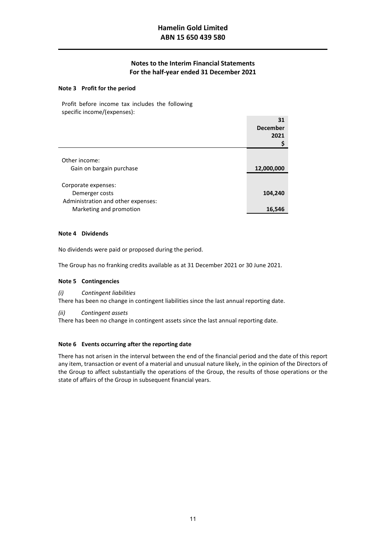**31** 

## **Note 3 Profit for the period**

 $\overline{a}$ 

Profit before income tax includes the following specific income/(expenses):

|                                    | 31              |
|------------------------------------|-----------------|
|                                    | <b>December</b> |
|                                    | 2021            |
|                                    |                 |
|                                    |                 |
| Other income:                      |                 |
| Gain on bargain purchase           | 12,000,000      |
|                                    |                 |
| Corporate expenses:                |                 |
| Demerger costs                     | 104,240         |
| Administration and other expenses: |                 |
| Marketing and promotion            | 16,546          |

## **Note 4 Dividends**

No dividends were paid or proposed during the period.

The Group has no franking credits available as at 31 December 2021 or 30 June 2021.

#### **Note 5 Contingencies**

*(i) Contingent liabilities*

There has been no change in contingent liabilities since the last annual reporting date.

*(ii) Contingent assets*

There has been no change in contingent assets since the last annual reporting date.

## **Note 6 Events occurring after the reporting date**

There has not arisen in the interval between the end of the financial period and the date of this report any item, transaction or event of a material and unusual nature likely, in the opinion of the Directors of the Group to affect substantially the operations of the Group, the results of those operations or the state of affairs of the Group in subsequent financial years.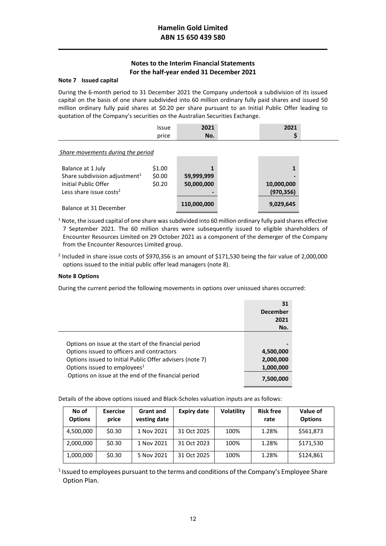### **Note 7 Issued capital**

 $\overline{a}$ 

During the 6-month period to 31 December 2021 the Company undertook a subdivision of its issued capital on the basis of one share subdivided into 60 million ordinary fully paid shares and issued 50 million ordinary fully paid shares at \$0.20 per share pursuant to an Initial Public Offer leading to quotation of the Company's securities on the Australian Securities Exchange.

|                                                                                                                               | <b>Issue</b><br>price      | 2021<br>No.              | 2021                          |  |
|-------------------------------------------------------------------------------------------------------------------------------|----------------------------|--------------------------|-------------------------------|--|
| Share movements during the period                                                                                             |                            |                          |                               |  |
| Balance at 1 July<br>Share subdivision adjustment <sup>1</sup><br>Initial Public Offer<br>Less share issue costs <sup>2</sup> | \$1.00<br>\$0.00<br>\$0.20 | 59,999,999<br>50,000,000 | 1<br>10,000,000<br>(970, 356) |  |
| Balance at 31 December                                                                                                        |                            | 110,000,000              | 9,029,645                     |  |

<sup>1</sup> Note, the issued capital of one share was subdivided into 60 million ordinary fully paid shares effective 7 September 2021. The 60 million shares were subsequently issued to eligible shareholders of Encounter Resources Limited on 29 October 2021 as a component of the demerger of the Company from the Encounter Resources Limited group.

<sup>2</sup> Included in share issue costs of \$970,356 is an amount of \$171,530 being the fair value of 2,000,000 options issued to the initial public offer lead managers (note 8).

## **Note 8 Options**

During the current period the following movements in options over unissued shares occurred:

|                                                                                                                                                                                                             | 31<br><b>December</b><br>2021       |
|-------------------------------------------------------------------------------------------------------------------------------------------------------------------------------------------------------------|-------------------------------------|
|                                                                                                                                                                                                             | No.                                 |
| Options on issue at the start of the financial period<br>Options issued to officers and contractors<br>Options issued to Initial Public Offer advisers (note 7)<br>Options issued to employees <sup>1</sup> | 4,500,000<br>2,000,000<br>1,000,000 |
| Options on issue at the end of the financial period                                                                                                                                                         | 7,500,000                           |

Details of the above options issued and Black-Scholes valuation inputs are as follows:

| No of<br><b>Options</b> | <b>Exercise</b><br>price | <b>Grant and</b><br>vesting date | <b>Expiry date</b> | <b>Volatility</b> | <b>Risk free</b><br>rate | Value of<br><b>Options</b> |
|-------------------------|--------------------------|----------------------------------|--------------------|-------------------|--------------------------|----------------------------|
| 4,500,000               | \$0.30                   | 1 Nov 2021                       | 31 Oct 2025        | 100%              | 1.28%                    | \$561,873                  |
| 2,000,000               | \$0.30                   | 1 Nov 2021                       | 31 Oct 2023        | 100%              | 1.28%                    | \$171,530                  |
| 1,000,000               | \$0.30                   | 5 Nov 2021                       | 31 Oct 2025        | 100%              | 1.28%                    | \$124,861                  |

<sup>1</sup> Issued to employees pursuant to the terms and conditions of the Company's Employee Share Option Plan.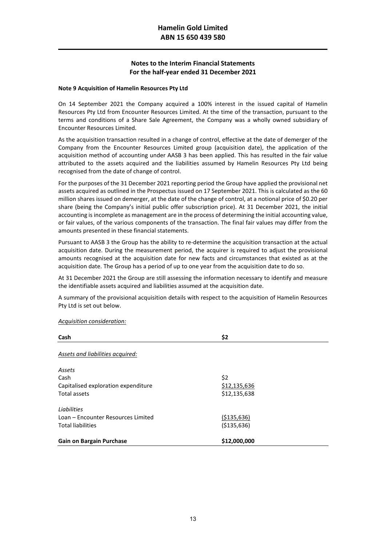### **Note 9 Acquisition of Hamelin Resources Pty Ltd**

 $\overline{a}$ 

On 14 September 2021 the Company acquired a 100% interest in the issued capital of Hamelin Resources Pty Ltd from Encounter Resources Limited. At the time of the transaction, pursuant to the terms and conditions of a Share Sale Agreement, the Company was a wholly owned subsidiary of Encounter Resources Limited.

As the acquisition transaction resulted in a change of control, effective at the date of demerger of the Company from the Encounter Resources Limited group (acquisition date), the application of the acquisition method of accounting under AASB 3 has been applied. This has resulted in the fair value attributed to the assets acquired and the liabilities assumed by Hamelin Resources Pty Ltd being recognised from the date of change of control.

For the purposes of the 31 December 2021 reporting period the Group have applied the provisional net assets acquired as outlined in the Prospectus issued on 17 September 2021. This is calculated as the 60 million shares issued on demerger, at the date of the change of control, at a notional price of \$0.20 per share (being the Company's initial public offer subscription price). At 31 December 2021, the initial accounting is incomplete as management are in the process of determining the initial accounting value, or fair values, of the various components of the transaction. The final fair values may differ from the amounts presented in these financial statements.

Pursuant to AASB 3 the Group has the ability to re-determine the acquisition transaction at the actual acquisition date. During the measurement period, the acquirer is required to adjust the provisional amounts recognised at the acquisition date for new facts and circumstances that existed as at the acquisition date. The Group has a period of up to one year from the acquisition date to do so.

At 31 December 2021 the Group are still assessing the information necessary to identify and measure the identifiable assets acquired and liabilities assumed at the acquisition date.

A summary of the provisional acquisition details with respect to the acquisition of Hamelin Resources Pty Ltd is set out below.

#### *Acquisition consideration:*

| Cash                                | \$2           |
|-------------------------------------|---------------|
| Assets and liabilities acquired:    |               |
| Assets                              |               |
| Cash                                | \$2           |
| Capitalised exploration expenditure | \$12,135,636  |
| Total assets                        | \$12,135,638  |
| Liabilities                         |               |
| Loan – Encounter Resources Limited  | ( \$135, 636) |
| <b>Total liabilities</b>            | ( \$135, 636) |
| <b>Gain on Bargain Purchase</b>     | \$12,000,000  |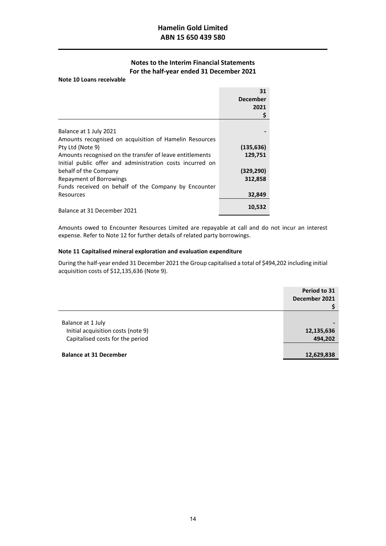#### **Note 10 Loans receivable**

 $\overline{a}$ 

|                                                           | 31<br><b>December</b><br>2021<br>\$ |
|-----------------------------------------------------------|-------------------------------------|
| Balance at 1 July 2021                                    |                                     |
| Amounts recognised on acquisition of Hamelin Resources    |                                     |
| Pty Ltd (Note 9)                                          | (135, 636)                          |
| Amounts recognised on the transfer of leave entitlements  | 129,751                             |
| Initial public offer and administration costs incurred on |                                     |
| behalf of the Company                                     | (329, 290)                          |
| <b>Repayment of Borrowings</b>                            | 312,858                             |
| Funds received on behalf of the Company by Encounter      |                                     |
| Resources                                                 | 32,849                              |
| Balance at 31 December 2021                               | 10,532                              |

Amounts owed to Encounter Resources Limited are repayable at call and do not incur an interest expense. Refer to Note 12 for further details of related party borrowings.

## **Note 11 Capitalised mineral exploration and evaluation expenditure**

During the half-year ended 31 December 2021 the Group capitalised a total of \$494,202 including initial acquisition costs of \$12,135,636 (Note 9).

|                                    | Period to 31<br>December 2021 |
|------------------------------------|-------------------------------|
| Balance at 1 July                  |                               |
| Initial acquisition costs (note 9) | 12,135,636                    |
| Capitalised costs for the period   | 494,202                       |
|                                    |                               |
| <b>Balance at 31 December</b>      | 12,629,838                    |
|                                    |                               |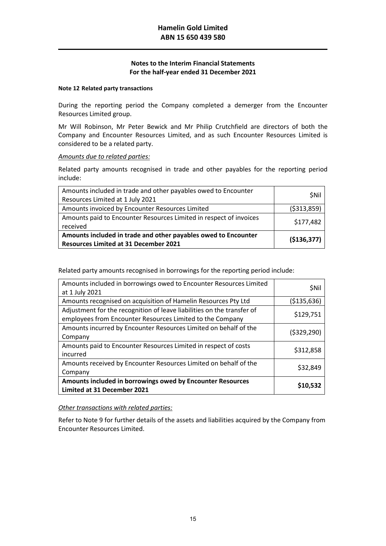## **Note 12 Related party transactions**

During the reporting period the Company completed a demerger from the Encounter Resources Limited group.

Mr Will Robinson, Mr Peter Bewick and Mr Philip Crutchfield are directors of both the Company and Encounter Resources Limited, and as such Encounter Resources Limited is considered to be a related party.

## *Amounts due to related parties:*

Related party amounts recognised in trade and other payables for the reporting period include:

| Amounts included in trade and other payables owed to Encounter<br>Resources Limited at 1 July 2021             | <b>SNII</b>   |
|----------------------------------------------------------------------------------------------------------------|---------------|
| Amounts invoiced by Encounter Resources Limited                                                                | ( \$313, 859) |
| Amounts paid to Encounter Resources Limited in respect of invoices<br>received                                 | \$177,482     |
| Amounts included in trade and other payables owed to Encounter<br><b>Resources Limited at 31 December 2021</b> | (\$136,377)   |

Related party amounts recognised in borrowings for the reporting period include:

| Amounts included in borrowings owed to Encounter Resources Limited<br>at 1 July 2021                                                | \$Nil         |
|-------------------------------------------------------------------------------------------------------------------------------------|---------------|
| Amounts recognised on acquisition of Hamelin Resources Pty Ltd                                                                      | (\$135,636)   |
| Adjustment for the recognition of leave liabilities on the transfer of<br>employees from Encounter Resources Limited to the Company | \$129,751     |
| Amounts incurred by Encounter Resources Limited on behalf of the<br>Company                                                         | ( \$329, 290) |
| Amounts paid to Encounter Resources Limited in respect of costs<br>incurred                                                         | \$312,858     |
| Amounts received by Encounter Resources Limited on behalf of the<br>Company                                                         | \$32,849      |
| Amounts included in borrowings owed by Encounter Resources<br>Limited at 31 December 2021                                           | \$10,532      |

## *Other transactions with related parties:*

Refer to Note 9 for further details of the assets and liabilities acquired by the Company from Encounter Resources Limited.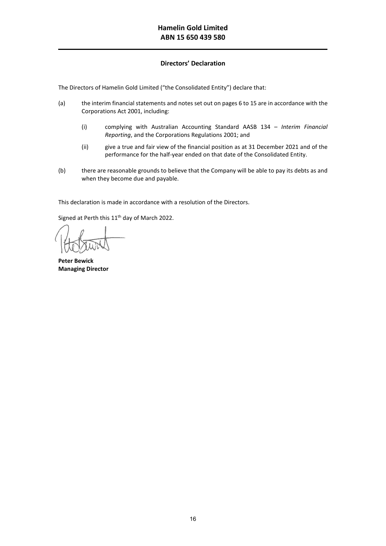# **Directors' Declaration**

The Directors of Hamelin Gold Limited ("the Consolidated Entity") declare that:

- (a) the interim financial statements and notes set out on pages 6 to 15 are in accordance with the Corporations Act 2001, including:
	- (i) complying with Australian Accounting Standard AASB 134 *Interim Financial Reporting*, and the Corporations Regulations 2001; and
	- (ii) give a true and fair view of the financial position as at 31 December 2021 and of the performance for the half-year ended on that date of the Consolidated Entity.
- (b) there are reasonable grounds to believe that the Company will be able to pay its debts as and when they become due and payable.

This declaration is made in accordance with a resolution of the Directors.

Signed at Perth this  $11<sup>th</sup>$  day of March 2022.

**Peter Bewick Managing Director**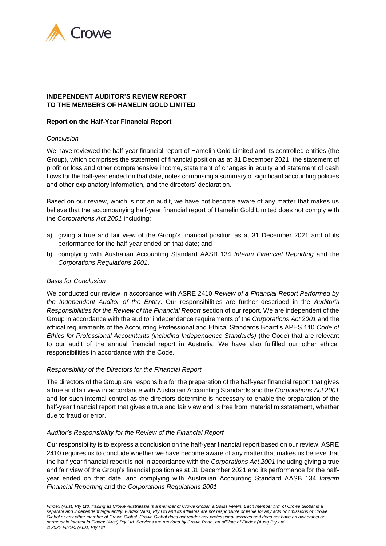

# **INDEPENDENT AUDITOR'S REVIEW REPORT TO THE MEMBERS OF HAMELIN GOLD LIMITED**

## **Report on the Half-Year Financial Report**

## *Conclusion*

We have reviewed the half-year financial report of Hamelin Gold Limited and its controlled entities (the Group), which comprises the statement of financial position as at 31 December 2021, the statement of profit or loss and other comprehensive income, statement of changes in equity and statement of cash flows for the half-year ended on that date, notes comprising a summary of significant accounting policies and other explanatory information, and the directors' declaration.

Based on our review, which is not an audit, we have not become aware of any matter that makes us believe that the accompanying half-year financial report of Hamelin Gold Limited does not comply with the *Corporations Act 2001* including:

- a) giving a true and fair view of the Group's financial position as at 31 December 2021 and of its performance for the half-year ended on that date; and
- b) complying with Australian Accounting Standard AASB 134 *Interim Financial Reporting* and the *Corporations Regulations 2001*.

## *Basis for Conclusion*

We conducted our review in accordance with ASRE 2410 *Review of a Financial Report Performed by the Independent Auditor of the Entity*. Our responsibilities are further described in the *Auditor's Responsibilities for the Review of the Financial Report* section of our report. We are independent of the Group in accordance with the auditor independence requirements of the *Corporations Act 2001* and the ethical requirements of the Accounting Professional and Ethical Standards Board's APES 110 *Code of Ethics for Professional Accountants (including Independence Standards)* (the Code) that are relevant to our audit of the annual financial report in Australia. We have also fulfilled our other ethical responsibilities in accordance with the Code.

## *Responsibility of the Directors for the Financial Report*

The directors of the Group are responsible for the preparation of the half-year financial report that gives a true and fair view in accordance with Australian Accounting Standards and the *Corporations Act 2001* and for such internal control as the directors determine is necessary to enable the preparation of the half-year financial report that gives a true and fair view and is free from material misstatement, whether due to fraud or error.

## *Auditor's Responsibility for the Review of the Financial Report*

Our responsibility is to express a conclusion on the half-year financial report based on our review. ASRE 2410 requires us to conclude whether we have become aware of any matter that makes us believe that the half-year financial report is not in accordance with the *Corporations Act 2001* including giving a true and fair view of the Group's financial position as at 31 December 2021 and its performance for the halfyear ended on that date, and complying with Australian Accounting Standard AASB 134 *Interim Financial Reporting* and the *Corporations Regulations 2001*.